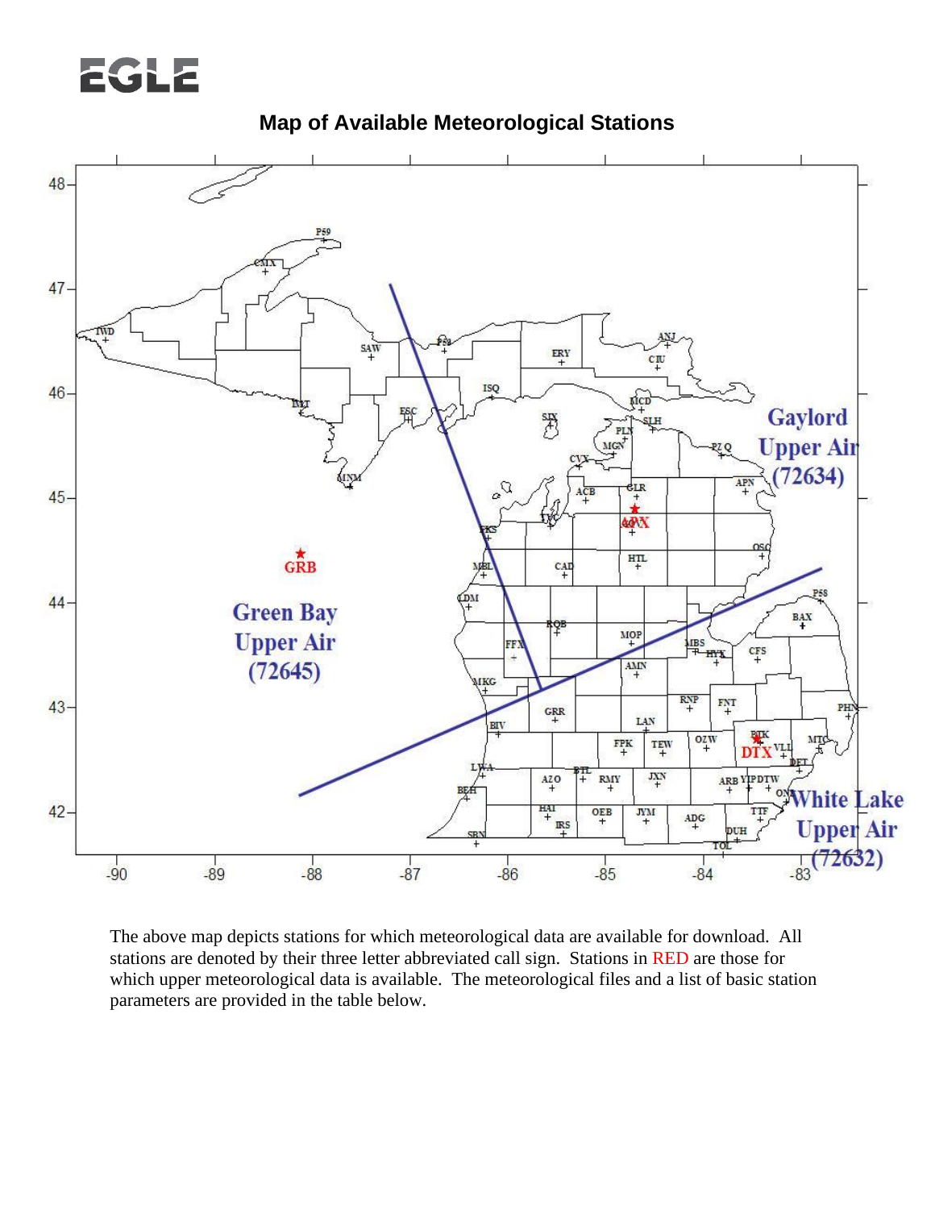## EGLE





The above map depicts stations for which meteorological data are available for download. All stations are denoted by their three letter abbreviated call sign. Stations in RED are those for which upper meteorological data is available. The meteorological files and a list of basic station parameters are provided in the table below.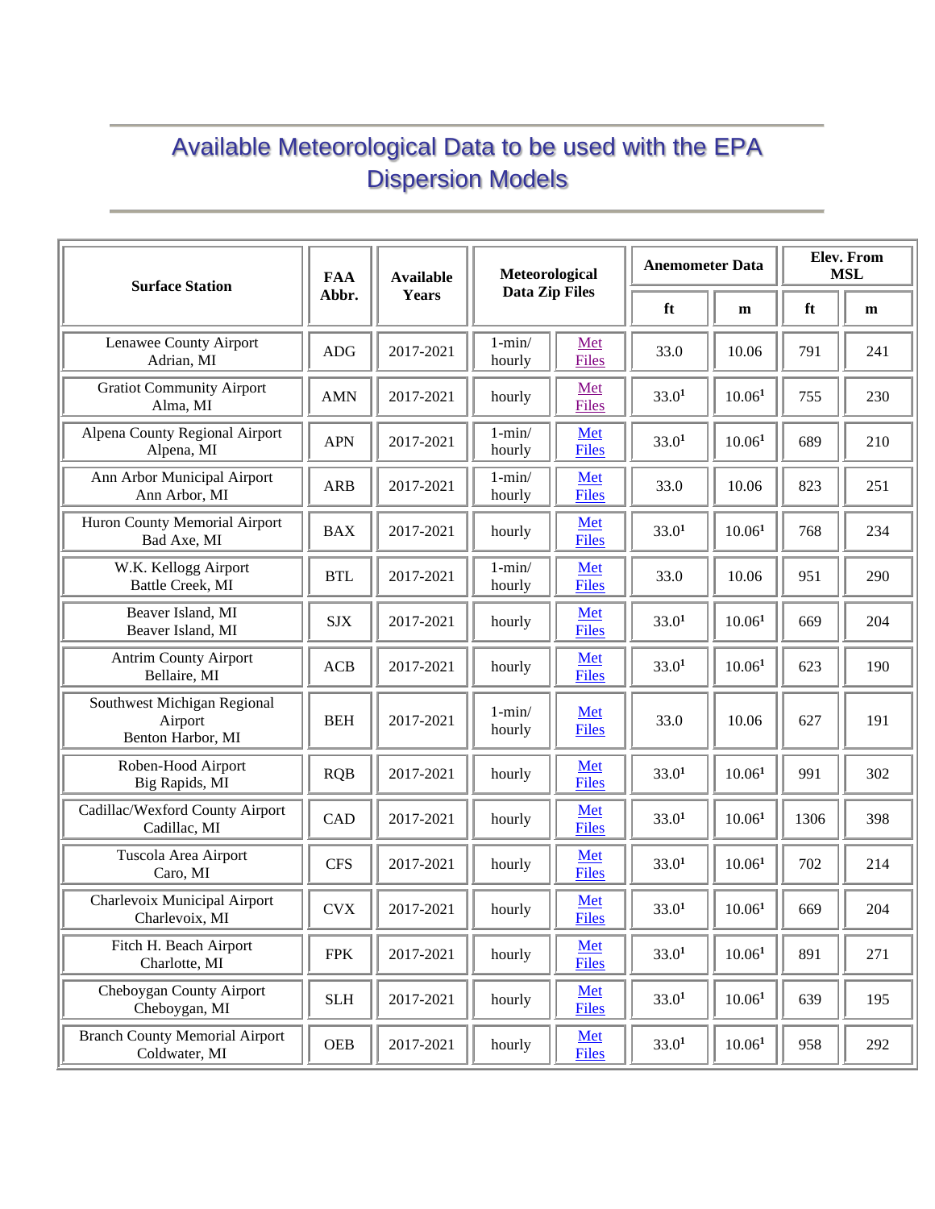## Available Meteorological Data to be used with the EPA Dispersion Models

| <b>Surface Station</b>                                      | <b>FAA</b> | <b>Available</b> | Meteorological<br><b>Data Zip Files</b> |                     | <b>Anemometer Data</b> |                    | <b>Elev. From</b><br><b>MSL</b> |     |
|-------------------------------------------------------------|------------|------------------|-----------------------------------------|---------------------|------------------------|--------------------|---------------------------------|-----|
|                                                             | Abbr.      | Years            |                                         |                     | ft                     | m                  | ft                              | m   |
| Lenawee County Airport<br>Adrian, MI                        | <b>ADG</b> | 2017-2021        | $1 - min/$<br>hourly                    | Met<br><b>Files</b> | 33.0                   | 10.06              | 791                             | 241 |
| <b>Gratiot Community Airport</b><br>Alma, MI                | <b>AMN</b> | 2017-2021        | hourly                                  | Met<br><b>Files</b> | 33.0 <sup>1</sup>      | $10.06^{1}$        | 755                             | 230 |
| Alpena County Regional Airport<br>Alpena, MI                | <b>APN</b> | 2017-2021        | $1 - min/$<br>hourly                    | Met<br><b>Files</b> | 33.0 <sup>1</sup>      | 10.06 <sup>1</sup> | 689                             | 210 |
| Ann Arbor Municipal Airport<br>Ann Arbor, MI                | <b>ARB</b> | 2017-2021        | $1 - min/$<br>hourly                    | Met<br><b>Files</b> | 33.0                   | 10.06              | 823                             | 251 |
| Huron County Memorial Airport<br>Bad Axe, MI                | <b>BAX</b> | 2017-2021        | hourly                                  | Met<br><b>Files</b> | 33.0 <sup>1</sup>      | 10.06 <sup>1</sup> | 768                             | 234 |
| W.K. Kellogg Airport<br>Battle Creek, MI                    | <b>BTL</b> | 2017-2021        | $1 - min/$<br>hourly                    | Met<br><b>Files</b> | 33.0                   | 10.06              | 951                             | 290 |
| Beaver Island, MI<br>Beaver Island, MI                      | <b>SJX</b> | 2017-2021        | hourly                                  | Met<br><b>Files</b> | 33.0 <sup>1</sup>      | 10.06 <sup>1</sup> | 669                             | 204 |
| <b>Antrim County Airport</b><br>Bellaire, MI                | ACB        | 2017-2021        | hourly                                  | Met<br><b>Files</b> | 33.0 <sup>1</sup>      | $10.06^{1}$        | 623                             | 190 |
| Southwest Michigan Regional<br>Airport<br>Benton Harbor, MI | <b>BEH</b> | 2017-2021        | $1 - min/$<br>hourly                    | Met<br><b>Files</b> | 33.0                   | 10.06              | 627                             | 191 |
| Roben-Hood Airport<br>Big Rapids, MI                        | <b>RQB</b> | 2017-2021        | hourly                                  | Met<br><b>Files</b> | 33.0 <sup>1</sup>      | 10.06 <sup>1</sup> | 991                             | 302 |
| Cadillac/Wexford County Airport<br>Cadillac, MI             | CAD        | 2017-2021        | hourly                                  | Met<br><b>Files</b> | 33.0 <sup>1</sup>      | $10.06^{1}$        | 1306                            | 398 |
| Tuscola Area Airport<br>Caro, MI                            | <b>CFS</b> | 2017-2021        | hourly                                  | Met<br><b>Files</b> | 33.0 <sup>1</sup>      | 10.06 <sup>1</sup> | 702                             | 214 |
| Charlevoix Municipal Airport<br>Charlevoix, MI              | <b>CVX</b> | 2017-2021        | hourly                                  | Met<br><b>Files</b> | 33.0 <sup>1</sup>      | $10.06^{1}$        | 669                             | 204 |
| Fitch H. Beach Airport<br>Charlotte, MI                     | <b>FPK</b> | 2017-2021        | hourly                                  | Met<br><b>Files</b> | 33.0 <sup>1</sup>      | 10.06 <sup>1</sup> | 891                             | 271 |
| Cheboygan County Airport<br>Cheboygan, MI                   | <b>SLH</b> | 2017-2021        | hourly                                  | Met<br><b>Files</b> | 33.0 <sup>1</sup>      | 10.06 <sup>1</sup> | 639                             | 195 |
| <b>Branch County Memorial Airport</b><br>Coldwater, MI      | <b>OEB</b> | 2017-2021        | hourly                                  | Met<br><b>Files</b> | 33.0 <sup>1</sup>      | $10.06^{1}$        | 958                             | 292 |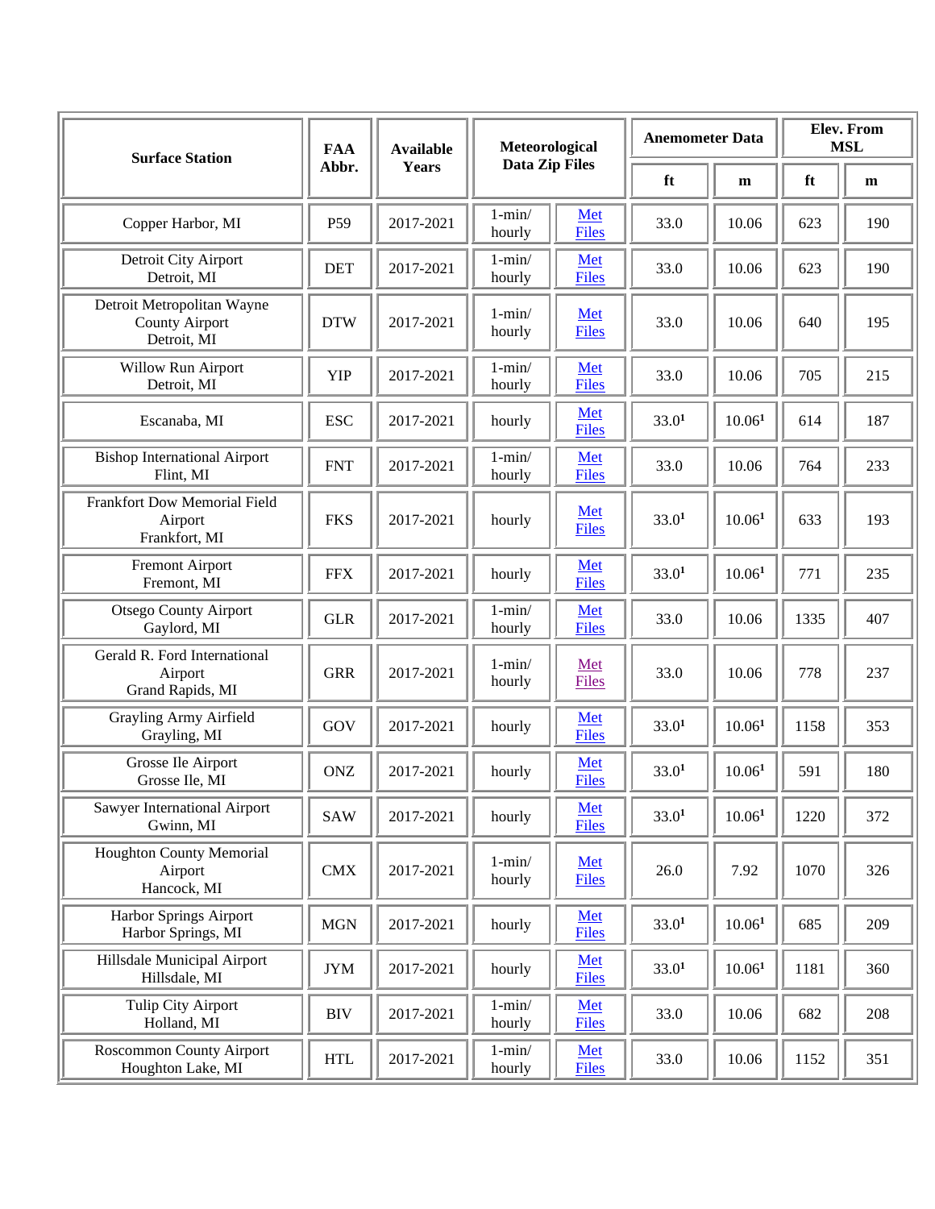| <b>Surface Station</b>                                             | <b>FAA</b>      | <b>Available</b> | Meteorological<br><b>Data Zip Files</b> |                     | <b>Anemometer Data</b> |                    | Elev. From<br><b>MSL</b> |     |
|--------------------------------------------------------------------|-----------------|------------------|-----------------------------------------|---------------------|------------------------|--------------------|--------------------------|-----|
|                                                                    | Abbr.           | Years            |                                         |                     | ft                     | m                  | ft                       | m   |
| Copper Harbor, MI                                                  | P <sub>59</sub> | 2017-2021        | $1 - min/$<br>hourly                    | Met<br><b>Files</b> | 33.0                   | 10.06              | 623                      | 190 |
| Detroit City Airport<br>Detroit, MI                                | <b>DET</b>      | 2017-2021        | $1 - min/$<br>hourly                    | Met<br><b>Files</b> | 33.0                   | 10.06              | 623                      | 190 |
| Detroit Metropolitan Wayne<br><b>County Airport</b><br>Detroit, MI | <b>DTW</b>      | 2017-2021        | $1 - min/$<br>hourly                    | Met<br><b>Files</b> | 33.0                   | 10.06              | 640                      | 195 |
| Willow Run Airport<br>Detroit, MI                                  | <b>YIP</b>      | 2017-2021        | $1 - min/$<br>hourly                    | Met<br><b>Files</b> | 33.0                   | 10.06              | 705                      | 215 |
| Escanaba, MI                                                       | <b>ESC</b>      | 2017-2021        | hourly                                  | Met<br><b>Files</b> | 33.0 <sup>1</sup>      | 10.06 <sup>1</sup> | 614                      | 187 |
| <b>Bishop International Airport</b><br>Flint, MI                   | <b>FNT</b>      | 2017-2021        | $1 - min/$<br>hourly                    | Met<br><b>Files</b> | 33.0                   | 10.06              | 764                      | 233 |
| Frankfort Dow Memorial Field<br>Airport<br>Frankfort, MI           | <b>FKS</b>      | 2017-2021        | hourly                                  | Met<br><b>Files</b> | 33.0 <sup>1</sup>      | 10.06 <sup>1</sup> | 633                      | 193 |
| <b>Fremont Airport</b><br>Fremont, MI                              | <b>FFX</b>      | 2017-2021        | hourly                                  | Met<br><b>Files</b> | 33.0 <sup>1</sup>      | 10.06 <sup>1</sup> | 771                      | 235 |
| <b>Otsego County Airport</b><br>Gaylord, MI                        | <b>GLR</b>      | 2017-2021        | $1 - min/$<br>hourly                    | Met<br><b>Files</b> | 33.0                   | 10.06              | 1335                     | 407 |
| Gerald R. Ford International<br>Airport<br>Grand Rapids, MI        | <b>GRR</b>      | 2017-2021        | $1 - min/$<br>hourly                    | Met<br><b>Files</b> | 33.0                   | 10.06              | 778                      | 237 |
| Grayling Army Airfield<br>Grayling, MI                             | GOV             | 2017-2021        | hourly                                  | Met<br><b>Files</b> | 33.0 <sup>1</sup>      | 10.06 <sup>1</sup> | 1158                     | 353 |
| Grosse Ile Airport<br>Grosse Ile, MI                               | <b>ONZ</b>      | 2017-2021        | hourly                                  | Met<br><b>Files</b> | 33.0 <sup>1</sup>      | 10.06 <sup>1</sup> | 591                      | 180 |
| Sawyer International Airport<br>Gwinn, MI                          | <b>SAW</b>      | 2017-2021        | hourly                                  | Met<br><b>Files</b> | 33.0 <sup>1</sup>      | 10.06 <sup>1</sup> | 1220                     | 372 |
| <b>Houghton County Memorial</b><br>Airport<br>Hancock, MI          | CMX             | 2017-2021        | $1 - min/$<br>hourly                    | Met<br><b>Files</b> | 26.0                   | 7.92               | 1070                     | 326 |
| Harbor Springs Airport<br>Harbor Springs, MI                       | <b>MGN</b>      | 2017-2021        | hourly                                  | Met<br><b>Files</b> | 33.0 <sup>1</sup>      | 10.06 <sup>1</sup> | 685                      | 209 |
| Hillsdale Municipal Airport<br>Hillsdale, MI                       | <b>JYM</b>      | 2017-2021        | hourly                                  | Met<br><b>Files</b> | 33.0 <sup>1</sup>      | $10.06^{1}$        | 1181                     | 360 |
| Tulip City Airport<br>Holland, MI                                  | <b>BIV</b>      | 2017-2021        | $1 - min/$<br>hourly                    | Met<br><b>Files</b> | 33.0                   | 10.06              | 682                      | 208 |
| Roscommon County Airport<br>Houghton Lake, MI                      | <b>HTL</b>      | 2017-2021        | $1 - min/$<br>hourly                    | Met<br><b>Files</b> | 33.0                   | 10.06              | 1152                     | 351 |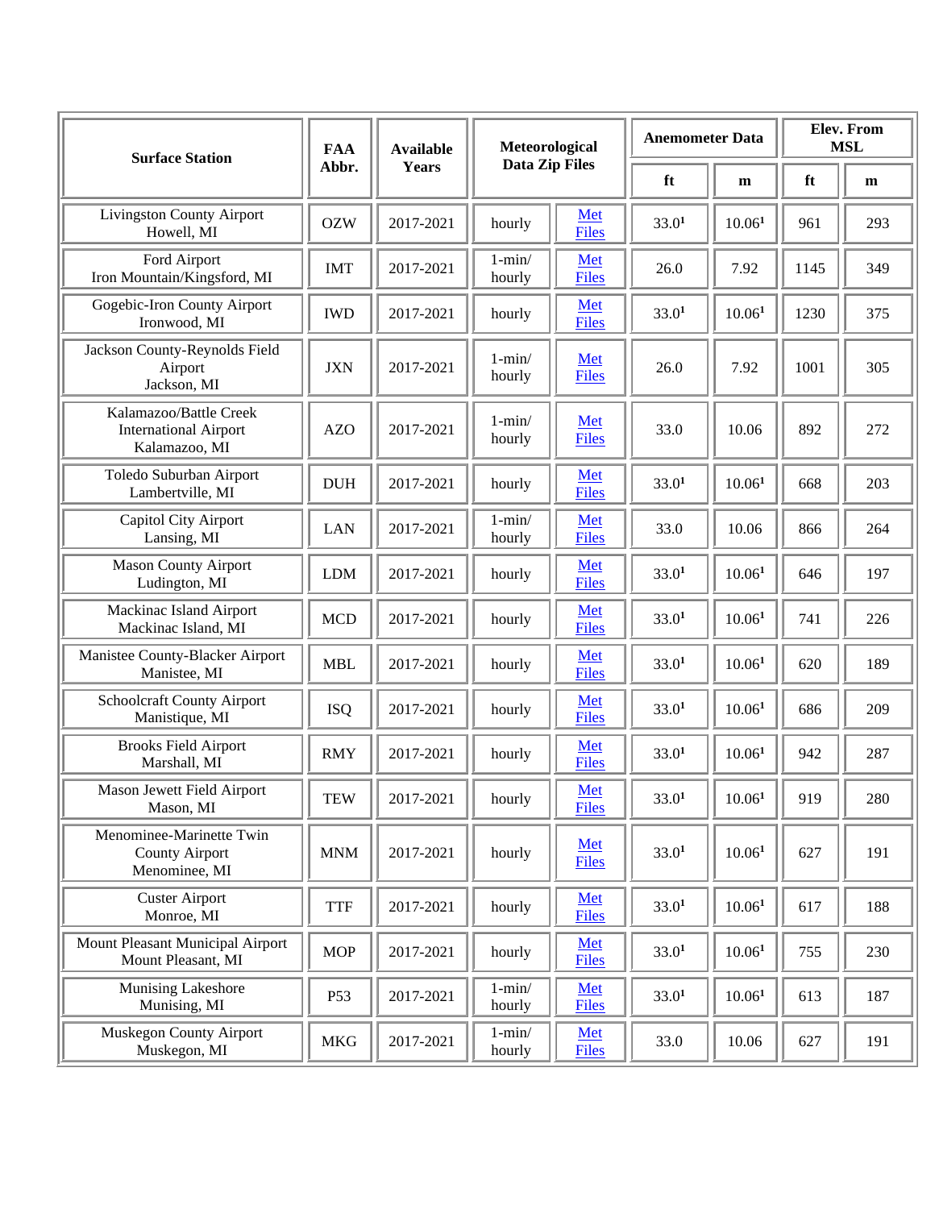| <b>Surface Station</b>                                                  | <b>FAA</b> | <b>Available</b> | Meteorological        |                     | <b>Anemometer Data</b> |                    | Elev. From<br><b>MSL</b> |     |
|-------------------------------------------------------------------------|------------|------------------|-----------------------|---------------------|------------------------|--------------------|--------------------------|-----|
|                                                                         | Abbr.      | <b>Years</b>     | <b>Data Zip Files</b> |                     | ft                     | m                  | ft                       | m   |
| <b>Livingston County Airport</b><br>Howell, MI                          | <b>OZW</b> | 2017-2021        | hourly                | Met<br>Files        | 33.0 <sup>1</sup>      | 10.06 <sup>1</sup> | 961                      | 293 |
| Ford Airport<br>Iron Mountain/Kingsford, MI                             | <b>IMT</b> | 2017-2021        | $1 - min/$<br>hourly  | Met<br><b>Files</b> | 26.0                   | 7.92               | 1145                     | 349 |
| Gogebic-Iron County Airport<br>Ironwood, MI                             | <b>IWD</b> | 2017-2021        | hourly                | Met<br><b>Files</b> | 33.0 <sup>1</sup>      | 10.06 <sup>1</sup> | 1230                     | 375 |
| Jackson County-Reynolds Field<br>Airport<br>Jackson, MI                 | <b>JXN</b> | 2017-2021        | $1 - min/$<br>hourly  | Met<br><b>Files</b> | 26.0                   | 7.92               | 1001                     | 305 |
| Kalamazoo/Battle Creek<br><b>International Airport</b><br>Kalamazoo, MI | <b>AZO</b> | 2017-2021        | $1 - min/$<br>hourly  | Met<br><b>Files</b> | 33.0                   | 10.06              | 892                      | 272 |
| Toledo Suburban Airport<br>Lambertville, MI                             | <b>DUH</b> | 2017-2021        | hourly                | Met<br><b>Files</b> | 33.0 <sup>1</sup>      | 10.06 <sup>1</sup> | 668                      | 203 |
| Capitol City Airport<br>Lansing, MI                                     | <b>LAN</b> | 2017-2021        | $1 - min/$<br>hourly  | Met<br><b>Files</b> | 33.0                   | 10.06              | 866                      | 264 |
| <b>Mason County Airport</b><br>Ludington, MI                            | <b>LDM</b> | 2017-2021        | hourly                | Met<br><b>Files</b> | 33.0 <sup>1</sup>      | 10.06 <sup>1</sup> | 646                      | 197 |
| Mackinac Island Airport<br>Mackinac Island, MI                          | <b>MCD</b> | 2017-2021        | hourly                | Met<br><b>Files</b> | 33.0 <sup>1</sup>      | 10.06 <sup>1</sup> | 741                      | 226 |
| Manistee County-Blacker Airport<br>Manistee, MI                         | <b>MBL</b> | 2017-2021        | hourly                | Met<br><b>Files</b> | 33.0 <sup>1</sup>      | 10.06 <sup>1</sup> | 620                      | 189 |
| Schoolcraft County Airport<br>Manistique, MI                            | <b>ISQ</b> | 2017-2021        | hourly                | Met<br><b>Files</b> | 33.0 <sup>1</sup>      | $10.06^{1}$        | 686                      | 209 |
| <b>Brooks Field Airport</b><br>Marshall, MI                             | <b>RMY</b> | 2017-2021        | hourly                | Met<br><b>Files</b> | 33.0 <sup>1</sup>      | 10.06 <sup>1</sup> | 942                      | 287 |
| Mason Jewett Field Airport<br>Mason, MI                                 | <b>TEW</b> | 2017-2021        | hourly                | Met<br><b>Files</b> | 33.0 <sup>1</sup>      | 10.06 <sup>1</sup> | 919                      | 280 |
| Menominee-Marinette Twin<br><b>County Airport</b><br>Menominee, MI      | <b>MNM</b> | 2017-2021        | hourly                | Met<br><b>Files</b> | 33.0 <sup>1</sup>      | 10.06 <sup>1</sup> | 627                      | 191 |
| <b>Custer Airport</b><br>Monroe, MI                                     | <b>TTF</b> | 2017-2021        | hourly                | Met<br><b>Files</b> | 33.0 <sup>1</sup>      | 10.06 <sup>1</sup> | 617                      | 188 |
| Mount Pleasant Municipal Airport<br>Mount Pleasant, MI                  | <b>MOP</b> | 2017-2021        | hourly                | Met<br><b>Files</b> | 33.0 <sup>1</sup>      | $10.06^{1}$        | 755                      | 230 |
| Munising Lakeshore<br>Munising, MI                                      | P53        | 2017-2021        | $1 - min/$<br>hourly  | Met<br><b>Files</b> | 33.0 <sup>1</sup>      | 10.06 <sup>1</sup> | 613                      | 187 |
| <b>Muskegon County Airport</b><br>Muskegon, MI                          | <b>MKG</b> | 2017-2021        | $1 - min/$<br>hourly  | Met<br><b>Files</b> | 33.0                   | 10.06              | 627                      | 191 |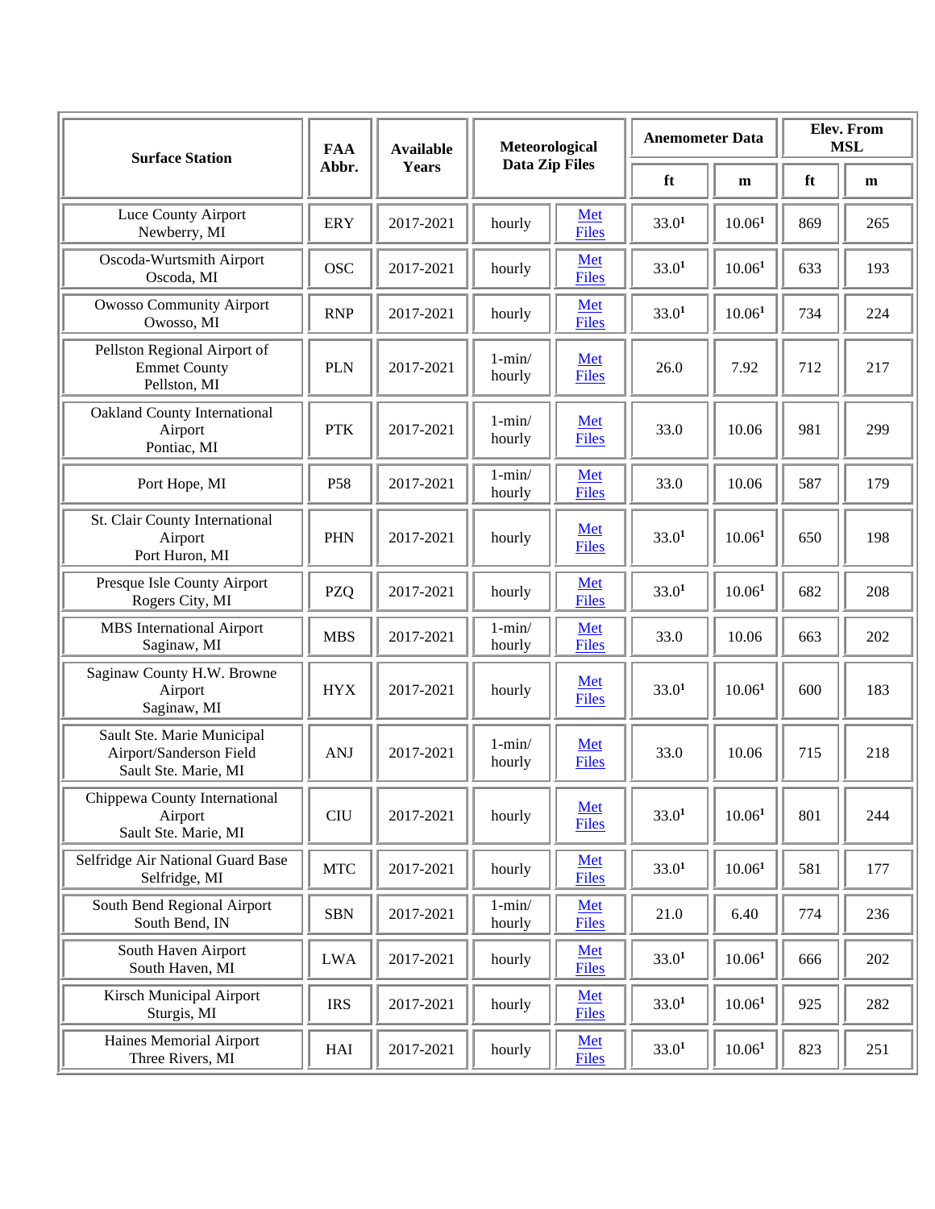| <b>Surface Station</b>                                                        | <b>FAA</b>      | <b>Available</b> | Meteorological<br><b>Data Zip Files</b><br><b>Years</b> |                     | <b>Anemometer Data</b> |                    | Elev. From<br><b>MSL</b> |     |
|-------------------------------------------------------------------------------|-----------------|------------------|---------------------------------------------------------|---------------------|------------------------|--------------------|--------------------------|-----|
|                                                                               | Abbr.           |                  |                                                         |                     | ft                     | m                  | ft                       | m   |
| Luce County Airport<br>Newberry, MI                                           | <b>ERY</b>      | 2017-2021        | hourly                                                  | Met<br>Files        | 33.0 <sup>1</sup>      | 10.06 <sup>1</sup> | 869                      | 265 |
| Oscoda-Wurtsmith Airport<br>Oscoda, MI                                        | <b>OSC</b>      | 2017-2021        | hourly                                                  | Met<br><b>Files</b> | 33.0 <sup>1</sup>      | 10.06 <sup>1</sup> | 633                      | 193 |
| Owosso Community Airport<br>Owosso, MI                                        | <b>RNP</b>      | 2017-2021        | hourly                                                  | Met<br><b>Files</b> | 33.0 <sup>1</sup>      | 10.06 <sup>1</sup> | 734                      | 224 |
| Pellston Regional Airport of<br><b>Emmet County</b><br>Pellston, MI           | <b>PLN</b>      | 2017-2021        | $1 - min/$<br>hourly                                    | Met<br><b>Files</b> | 26.0                   | 7.92               | 712                      | 217 |
| <b>Oakland County International</b><br>Airport<br>Pontiac, MI                 | <b>PTK</b>      | 2017-2021        | $1 - min/$<br>hourly                                    | Met<br><b>Files</b> | 33.0                   | 10.06              | 981                      | 299 |
| Port Hope, MI                                                                 | P58             | 2017-2021        | $1 - min/$<br>hourly                                    | Met<br><b>Files</b> | 33.0                   | 10.06              | 587                      | 179 |
| St. Clair County International<br>Airport<br>Port Huron, MI                   | <b>PHN</b>      | 2017-2021        | hourly                                                  | Met<br><b>Files</b> | 33.0 <sup>1</sup>      | 10.06 <sup>1</sup> | 650                      | 198 |
| Presque Isle County Airport<br>Rogers City, MI                                | PZQ             | 2017-2021        | hourly                                                  | Met<br><b>Files</b> | 33.0 <sup>1</sup>      | 10.06 <sup>1</sup> | 682                      | 208 |
| <b>MBS</b> International Airport<br>Saginaw, MI                               | <b>MBS</b>      | 2017-2021        | $1 - min/$<br>hourly                                    | Met<br><b>Files</b> | 33.0                   | 10.06              | 663                      | 202 |
| Saginaw County H.W. Browne<br>Airport<br>Saginaw, MI                          | <b>HYX</b>      | 2017-2021        | hourly                                                  | Met<br><b>Files</b> | 33.0 <sup>1</sup>      | 10.06 <sup>1</sup> | 600                      | 183 |
| Sault Ste. Marie Municipal<br>Airport/Sanderson Field<br>Sault Ste. Marie, MI | <b>ANJ</b>      | 2017-2021        | $1 - min/$<br>hourly                                    | Met<br><b>Files</b> | 33.0                   | 10.06              | 715                      | 218 |
| Chippewa County International<br>Airport<br>Sault Ste. Marie, MI              | C <sub>II</sub> | 2017-2021        | hourly                                                  | Met<br><b>Files</b> | 33.0 <sup>1</sup>      | 10.06 <sup>1</sup> | 801                      | 244 |
| Selfridge Air National Guard Base<br>Selfridge, MI                            | <b>MTC</b>      | 2017-2021        | hourly                                                  | Met<br><b>Files</b> | 33.0 <sup>1</sup>      | 10.06 <sup>1</sup> | 581                      | 177 |
| South Bend Regional Airport<br>South Bend, IN                                 | <b>SBN</b>      | 2017-2021        | $1 - min/$<br>hourly                                    | Met<br><b>Files</b> | 21.0                   | 6.40               | 774                      | 236 |
| South Haven Airport<br>South Haven, MI                                        | <b>LWA</b>      | 2017-2021        | hourly                                                  | Met<br><b>Files</b> | 33.0 <sup>1</sup>      | 10.06 <sup>1</sup> | 666                      | 202 |
| <b>Kirsch Municipal Airport</b><br>Sturgis, MI                                | <b>IRS</b>      | 2017-2021        | hourly                                                  | Met<br><b>Files</b> | 33.0 <sup>1</sup>      | $10.06^{1}$        | 925                      | 282 |
| Haines Memorial Airport<br>Three Rivers, MI                                   | $\rm HAI$       | 2017-2021        | hourly                                                  | Met<br><b>Files</b> | 33.0 <sup>1</sup>      | 10.06 <sup>1</sup> | 823                      | 251 |